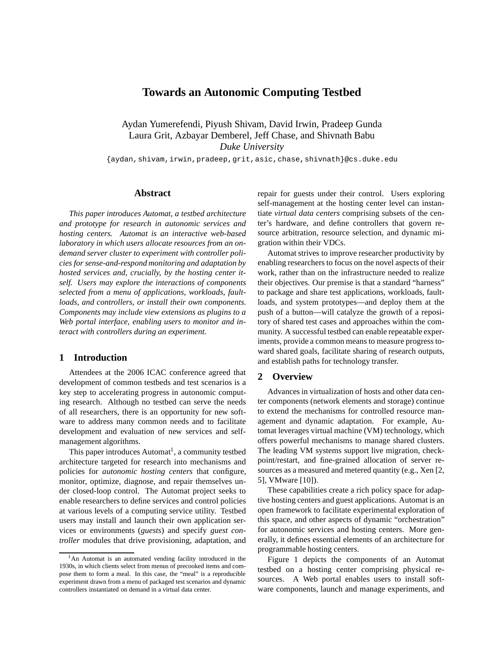# **Towards an Autonomic Computing Testbed**

Aydan Yumerefendi, Piyush Shivam, David Irwin, Pradeep Gunda Laura Grit, Azbayar Demberel, Jeff Chase, and Shivnath Babu *Duke University*

{aydan,shivam,irwin,pradeep,grit,asic,chase,shivnath}@cs.duke.edu

### **Abstract**

*This paper introduces Automat, a testbed architecture and prototype for research in autonomic services and hosting centers. Automat is an interactive web-based laboratory in which users allocate resources from an ondemand server cluster to experiment with controller policies for sense-and-respond monitoring and adaptation by hosted services and, crucially, by the hosting center itself. Users may explore the interactions of components selected from a menu of applications, workloads, faultloads, and controllers, or install their own components. Components may include view extensions as plugins to a Web portal interface, enabling users to monitor and interact with controllers during an experiment.*

### **1 Introduction**

Attendees at the 2006 ICAC conference agreed that development of common testbeds and test scenarios is a key step to accelerating progress in autonomic computing research. Although no testbed can serve the needs of all researchers, there is an opportunity for new software to address many common needs and to facilitate development and evaluation of new services and selfmanagement algorithms.

This paper introduces Automat<sup>1</sup>, a community testbed architecture targeted for research into mechanisms and policies for *autonomic hosting centers* that configure, monitor, optimize, diagnose, and repair themselves under closed-loop control. The Automat project seeks to enable researchers to define services and control policies at various levels of a computing service utility. Testbed users may install and launch their own application services or environments (*guests*) and specify *guest controller* modules that drive provisioning, adaptation, and

repair for guests under their control. Users exploring self-management at the hosting center level can instantiate *virtual data centers* comprising subsets of the center's hardware, and define controllers that govern resource arbitration, resource selection, and dynamic migration within their VDCs.

Automat strives to improve researcher productivity by enabling researchers to focus on the novel aspects of their work, rather than on the infrastructure needed to realize their objectives. Our premise is that a standard "harness" to package and share test applications, workloads, faultloads, and system prototypes—and deploy them at the push of a button—will catalyze the growth of a repository of shared test cases and approaches within the community. A successful testbed can enable repeatable experiments, provide a common means to measure progress toward shared goals, facilitate sharing of research outputs, and establish paths for technology transfer.

### **2 Overview**

Advances in virtualization of hosts and other data center components (network elements and storage) continue to extend the mechanisms for controlled resource management and dynamic adaptation. For example, Automat leverages virtual machine (VM) technology, which offers powerful mechanisms to manage shared clusters. The leading VM systems support live migration, checkpoint/restart, and fine-grained allocation of server resources as a measured and metered quantity (e.g., Xen [2, 5], VMware [10]).

These capabilities create a rich policy space for adaptive hosting centers and guest applications. Automat is an open framework to facilitate experimental exploration of this space, and other aspects of dynamic "orchestration" for autonomic services and hosting centers. More generally, it defines essential elements of an architecture for programmable hosting centers.

Figure 1 depicts the components of an Automat testbed on a hosting center comprising physical resources. A Web portal enables users to install software components, launch and manage experiments, and

<sup>&</sup>lt;sup>1</sup>An Automat is an automated vending facility introduced in the 1930s, in which clients select from menus of precooked items and compose them to form a meal. In this case, the "meal" is a reproducible experiment drawn from a menu of packaged test scenarios and dynamic controllers instantiated on demand in a virtual data center.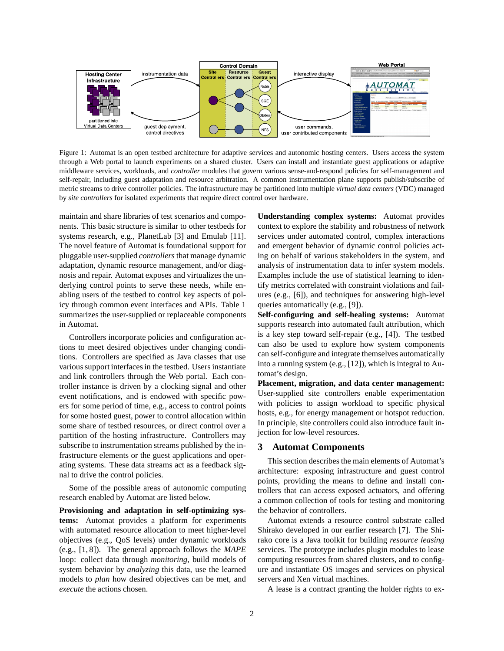

Figure 1: Automat is an open testbed architecture for adaptive services and autonomic hosting centers. Users access the system through a Web portal to launch experiments on a shared cluster. Users can install and instantiate guest applications or adaptive middleware services, workloads, and *controller* modules that govern various sense-and-respond policies for self-management and self-repair, including guest adaptation and resource arbitration. A common instrumentation plane supports publish/subscribe of metric streams to drive controller policies. The infrastructure may be partitioned into multiple *virtual data centers* (VDC) managed by *site controllers* for isolated experiments that require direct control over hardware.

maintain and share libraries of test scenarios and components. This basic structure is similar to other testbeds for systems research, e.g., PlanetLab [3] and Emulab [11]. The novel feature of Automat is foundational support for pluggable user-supplied *controllers* that manage dynamic adaptation, dynamic resource management, and/or diagnosis and repair. Automat exposes and virtualizes the underlying control points to serve these needs, while enabling users of the testbed to control key aspects of policy through common event interfaces and APIs. Table 1 summarizes the user-supplied or replaceable components in Automat.

Controllers incorporate policies and configuration actions to meet desired objectives under changing conditions. Controllers are specified as Java classes that use various support interfaces in the testbed. Users instantiate and link controllers through the Web portal. Each controller instance is driven by a clocking signal and other event notifications, and is endowed with specific powers for some period of time, e.g., access to control points for some hosted guest, power to control allocation within some share of testbed resources, or direct control over a partition of the hosting infrastructure. Controllers may subscribe to instrumentation streams published by the infrastructure elements or the guest applications and operating systems. These data streams act as a feedback signal to drive the control policies.

Some of the possible areas of autonomic computing research enabled by Automat are listed below.

**Provisioning and adaptation in self-optimizing systems:** Automat provides a platform for experiments with automated resource allocation to meet higher-level objectives (e.g., QoS levels) under dynamic workloads (e.g., [1, 8]). The general approach follows the *MAPE* loop: collect data through *monitoring*, build models of system behavior by *analyzing* this data, use the learned models to *plan* how desired objectives can be met, and *execute* the actions chosen.

**Understanding complex systems:** Automat provides context to explore the stability and robustness of network services under automated control, complex interactions and emergent behavior of dynamic control policies acting on behalf of various stakeholders in the system, and analysis of instrumentation data to infer system models. Examples include the use of statistical learning to identify metrics correlated with constraint violations and failures (e.g., [6]), and techniques for answering high-level queries automatically (e.g., [9]).

**Self-configuring and self-healing systems:** Automat supports research into automated fault attribution, which is a key step toward self-repair (e.g., [4]). The testbed can also be used to explore how system components can self-configure and integrate themselves automatically into a running system (e.g., [12]), which is integral to Automat's design.

**Placement, migration, and data center management:** User-supplied site controllers enable experimentation with policies to assign workload to specific physical hosts, e.g., for energy management or hotspot reduction. In principle, site controllers could also introduce fault injection for low-level resources.

# **3 Automat Components**

This section describes the main elements of Automat's architecture: exposing infrastructure and guest control points, providing the means to define and install controllers that can access exposed actuators, and offering a common collection of tools for testing and monitoring the behavior of controllers.

Automat extends a resource control substrate called Shirako developed in our earlier research [7]. The Shirako core is a Java toolkit for building *resource leasing* services. The prototype includes plugin modules to lease computing resources from shared clusters, and to configure and instantiate OS images and services on physical servers and Xen virtual machines.

A lease is a contract granting the holder rights to ex-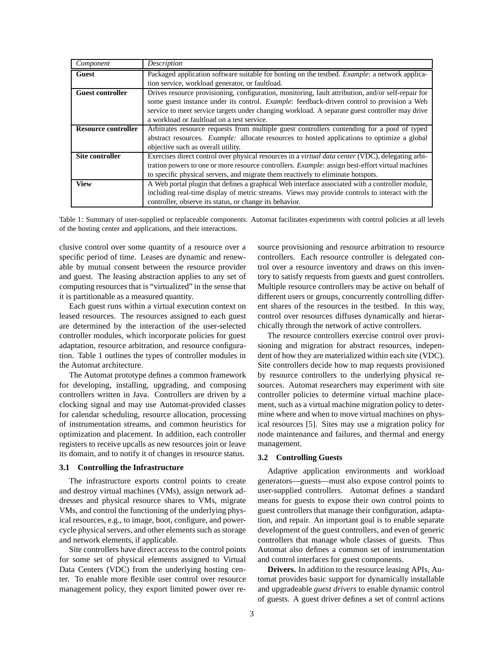| Component                  | <b>Description</b>                                                                                       |
|----------------------------|----------------------------------------------------------------------------------------------------------|
| <b>Guest</b>               | Packaged application software suitable for hosting on the testbed. <i>Example</i> : a network applica-   |
|                            | tion service, workload generator, or faultload.                                                          |
| <b>Guest controller</b>    | Drives resource provisioning, configuration, monitoring, fault attribution, and/or self-repair for       |
|                            | some guest instance under its control. <i>Example</i> : feedback-driven control to provision a Web       |
|                            | service to meet service targets under changing workload. A separate guest controller may drive           |
|                            | a workload or faultload on a test service.                                                               |
| <b>Resource controller</b> | Arbitrates resource requests from multiple guest controllers contending for a pool of typed              |
|                            | abstract resources. <i>Example:</i> allocate resources to hosted applications to optimize a global       |
|                            | objective such as overall utility.                                                                       |
| Site controller            | Exercises direct control over physical resources in a <i>virtual data center</i> (VDC), delegating arbi- |
|                            | tration powers to one or more resource controllers. <i>Example</i> : assign best-effort virtual machines |
|                            | to specific physical servers, and migrate them reactively to eliminate hotspots.                         |
| <b>View</b>                | A Web portal plugin that defines a graphical Web interface associated with a controller module,          |
|                            | including real-time display of metric streams. Views may provide controls to interact with the           |
|                            | controller, observe its status, or change its behavior.                                                  |

Table 1: Summary of user-supplied or replaceable components. Automat facilitates experiments with control policies at all levels of the hosting center and applications, and their interactions.

clusive control over some quantity of a resource over a specific period of time. Leases are dynamic and renewable by mutual consent between the resource provider and guest. The leasing abstraction applies to any set of computing resources that is "virtualized" in the sense that it is partitionable as a measured quantity.

Each guest runs within a virtual execution context on leased resources. The resources assigned to each guest are determined by the interaction of the user-selected controller modules, which incorporate policies for guest adaptation, resource arbitration, and resource configuration. Table 1 outlines the types of controller modules in the Automat architecture.

The Automat prototype defines a common framework for developing, installing, upgrading, and composing controllers written in Java. Controllers are driven by a clocking signal and may use Automat-provided classes for calendar scheduling, resource allocation, processing of instrumentation streams, and common heuristics for optimization and placement. In addition, each controller registers to receive upcalls as new resources join or leave its domain, and to notify it of changes in resource status.

#### **3.1 Controlling the Infrastructure**

The infrastructure exports control points to create and destroy virtual machines (VMs), assign network addresses and physical resource shares to VMs, migrate VMs, and control the functioning of the underlying physical resources, e.g., to image, boot, configure, and powercycle physical servers, and other elements such as storage and network elements, if applicable.

Site controllers have direct access to the control points for some set of physical elements assigned to Virtual Data Centers (VDC) from the underlying hosting center. To enable more flexible user control over resource management policy, they export limited power over resource provisioning and resource arbitration to resource controllers. Each resource controller is delegated control over a resource inventory and draws on this inventory to satisfy requests from guests and guest controllers. Multiple resource controllers may be active on behalf of different users or groups, concurrently controlling different shares of the resources in the testbed. In this way, control over resources diffuses dynamically and hierarchically through the network of active controllers.

The resource controllers exercise control over provisioning and migration for abstract resources, independent of how they are materialized within each site (VDC). Site controllers decide how to map requests provisioned by resource controllers to the underlying physical resources. Automat researchers may experiment with site controller policies to determine virtual machine placement, such as a virtual machine migration policy to determine where and when to move virtual machines on physical resources [5]. Sites may use a migration policy for node maintenance and failures, and thermal and energy management.

#### **3.2 Controlling Guests**

Adaptive application environments and workload generators—guests—must also expose control points to user-supplied controllers. Automat defines a standard means for guests to expose their own control points to guest controllers that manage their configuration, adaptation, and repair. An important goal is to enable separate development of the guest controllers, and even of generic controllers that manage whole classes of guests. Thus Automat also defines a common set of instrumentation and control interfaces for guest components.

**Drivers.** In addition to the resource leasing APIs, Automat provides basic support for dynamically installable and upgradeable *guest drivers* to enable dynamic control of guests. A guest driver defines a set of control actions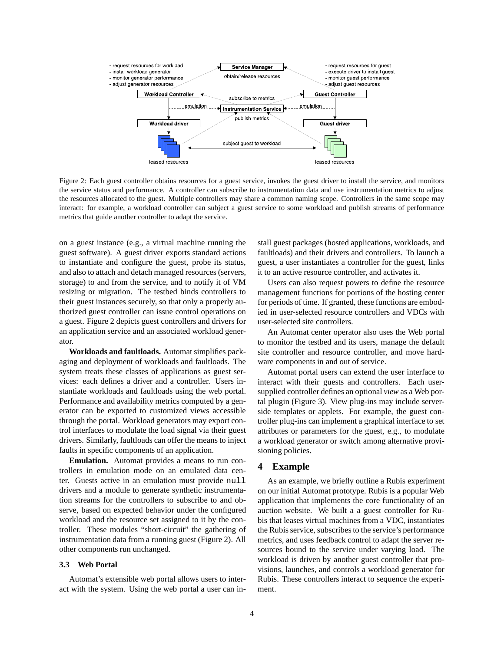

Figure 2: Each guest controller obtains resources for a guest service, invokes the guest driver to install the service, and monitors the service status and performance. A controller can subscribe to instrumentation data and use instrumentation metrics to adjust the resources allocated to the guest. Multiple controllers may share a common naming scope. Controllers in the same scope may interact: for example, a workload controller can subject a guest service to some workload and publish streams of performance metrics that guide another controller to adapt the service.

on a guest instance (e.g., a virtual machine running the guest software). A guest driver exports standard actions to instantiate and configure the guest, probe its status, and also to attach and detach managed resources (servers, storage) to and from the service, and to notify it of VM resizing or migration. The testbed binds controllers to their guest instances securely, so that only a properly authorized guest controller can issue control operations on a guest. Figure 2 depicts guest controllers and drivers for an application service and an associated workload generator.

**Workloads and faultloads.** Automat simplifies packaging and deployment of workloads and faultloads. The system treats these classes of applications as guest services: each defines a driver and a controller. Users instantiate workloads and faultloads using the web portal. Performance and availability metrics computed by a generator can be exported to customized views accessible through the portal. Workload generators may export control interfaces to modulate the load signal via their guest drivers. Similarly, faultloads can offer the means to inject faults in specific components of an application.

**Emulation.** Automat provides a means to run controllers in emulation mode on an emulated data center. Guests active in an emulation must provide null drivers and a module to generate synthetic instrumentation streams for the controllers to subscribe to and observe, based on expected behavior under the configured workload and the resource set assigned to it by the controller. These modules "short-circuit" the gathering of instrumentation data from a running guest (Figure 2). All other components run unchanged.

### **3.3 Web Portal**

Automat's extensible web portal allows users to interact with the system. Using the web portal a user can install guest packages (hosted applications, workloads, and faultloads) and their drivers and controllers. To launch a guest, a user instantiates a controller for the guest, links it to an active resource controller, and activates it.

Users can also request powers to define the resource management functions for portions of the hosting center for periods of time. If granted, these functions are embodied in user-selected resource controllers and VDCs with user-selected site controllers.

An Automat center operator also uses the Web portal to monitor the testbed and its users, manage the default site controller and resource controller, and move hardware components in and out of service.

Automat portal users can extend the user interface to interact with their guests and controllers. Each usersupplied controller defines an optional *view* as a Web portal plugin (Figure 3). View plug-ins may include serverside templates or applets. For example, the guest controller plug-ins can implement a graphical interface to set attributes or parameters for the guest, e.g., to modulate a workload generator or switch among alternative provisioning policies.

# **4 Example**

As an example, we briefly outline a Rubis experiment on our initial Automat prototype. Rubis is a popular Web application that implements the core functionality of an auction website. We built a a guest controller for Rubis that leases virtual machines from a VDC, instantiates the Rubis service, subscribes to the service's performance metrics, and uses feedback control to adapt the server resources bound to the service under varying load. The workload is driven by another guest controller that provisions, launches, and controls a workload generator for Rubis. These controllers interact to sequence the experiment.